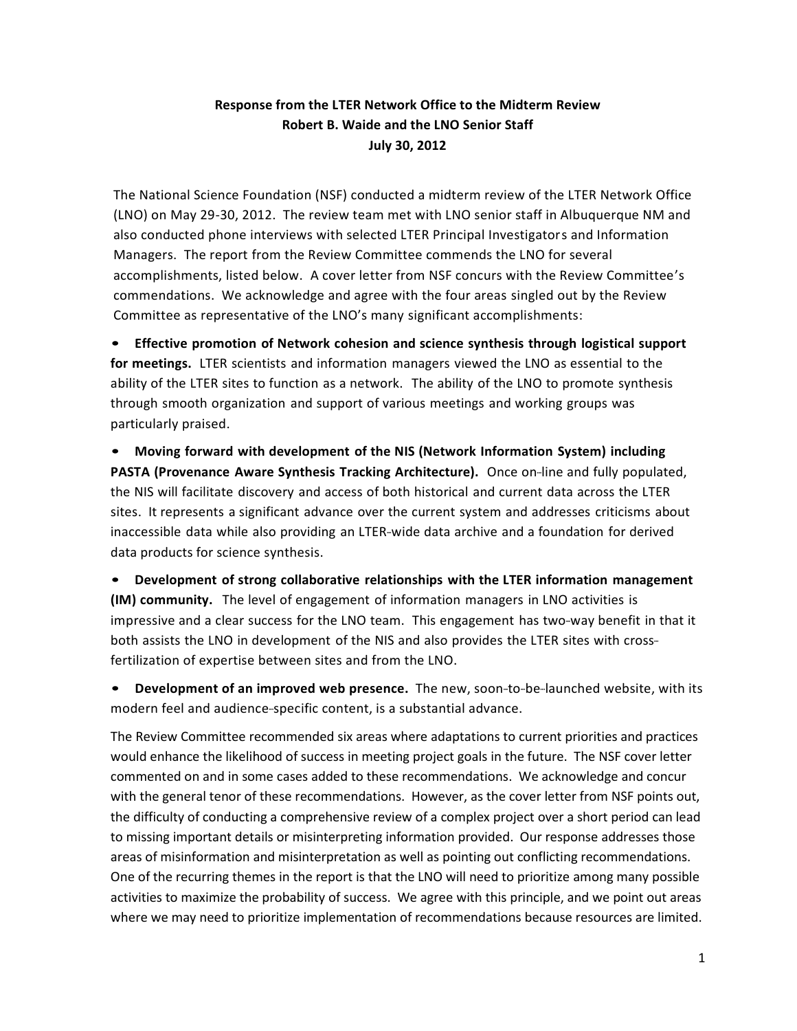## **Response from the LTER Network Office to the Midterm Review Robert B. Waide and the LNO Senior Staff July 30, 2012**

The National Science Foundation (NSF) conducted a midterm review of the LTER Network Office (LNO) on May 29-30, 2012. The review team met with LNO senior staff in Albuquerque NM and also conducted phone interviews with selected LTER Principal Investigators and Information Managers. The report from the Review Committee commends the LNO for several accomplishments, listed below. A cover letter from NSF concurs with the Review Committee's commendations. We acknowledge and agree with the four areas singled out by the Review Committee as representative of the LNO's many significant accomplishments:

• **Effective promotion of Network cohesion and science synthesis through logistical support for meetings.** LTER scientists and information managers viewed the LNO as essential to the ability of the LTER sites to function as a network. The ability of the LNO to promote synthesis through smooth organization and support of various meetings and working groups was particularly praised.

• **Moving forward with development of the NIS (Network Information System) including PASTA** *(Provenance Aware Synthesis Tracking Architecture).* Once on-line and fully populated, the NIS will facilitate discovery and access of both historical and current data across the LTER sites. It represents a significant advance over the current system and addresses criticisms about inaccessible data while also providing an LTER-wide data archive and a foundation for derived data products for science synthesis.

• **Development of strong collaborative relationships with the LTER information management (IM) community.** The level of engagement of information managers in LNO activities is impressive and a clear success for the LNO team. This engagement has two-way benefit in that it both assists the LNO in development of the NIS and also provides the LTER sites with crossfertilization of expertise between sites and from the LNO.

**Development of an improved web presence.** The new, soon-to-be-launched website, with its modern feel and audience-specific content, is a substantial advance.

The Review Committee recommended six areas where adaptations to current priorities and practices would enhance the likelihood of success in meeting project goals in the future. The NSF cover letter commented on and in some cases added to these recommendations. We acknowledge and concur with the general tenor of these recommendations. However, as the cover letter from NSF points out, the difficulty of conducting a comprehensive review of a complex project over a short period can lead to missing important details or misinterpreting information provided. Our response addresses those areas of misinformation and misinterpretation as well as pointing out conflicting recommendations. One of the recurring themes in the report is that the LNO will need to prioritize among many possible activities to maximize the probability of success. We agree with this principle, and we point out areas where we may need to prioritize implementation of recommendations because resources are limited.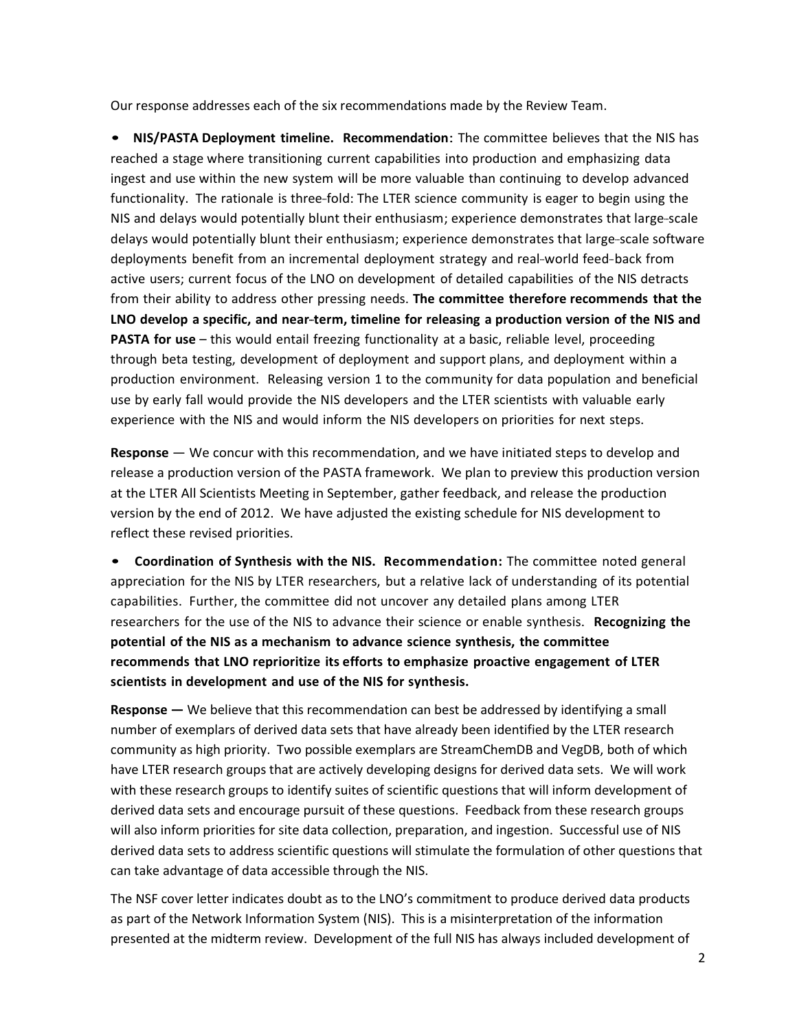Our response addresses each of the six recommendations made by the Review Team.

• **NIS/PASTA Deployment timeline. Recommendation**: The committee believes that the NIS has reached a stage where transitioning current capabilities into production and emphasizing data ingest and use within the new system will be more valuable than continuing to develop advanced functionality. The rationale is three-fold: The LTER science community is eager to begin using the NIS and delays would potentially blunt their enthusiasm; experience demonstrates that large-scale delays would potentially blunt their enthusiasm; experience demonstrates that large-scale software deployments benefit from an incremental deployment strategy and real-world feed-back from active users; current focus of the LNO on development of detailed capabilities of the NIS detracts from their ability to address other pressing needs. **The committee therefore recommends that the LNO develop a specific, and near--‐term, timeline for releasing a production version of the NIS and PASTA for use** – this would entail freezing functionality at a basic, reliable level, proceeding through beta testing, development of deployment and support plans, and deployment within a production environment. Releasing version 1 to the community for data population and beneficial use by early fall would provide the NIS developers and the LTER scientists with valuable early experience with the NIS and would inform the NIS developers on priorities for next steps.

**Response** — We concur with this recommendation, and we have initiated steps to develop and release a production version of the PASTA framework. We plan to preview this production version at the LTER All Scientists Meeting in September, gather feedback, and release the production version by the end of 2012. We have adjusted the existing schedule for NIS development to reflect these revised priorities.

• **Coordination of Synthesis with the NIS. Recommendation:** The committee noted general appreciation for the NIS by LTER researchers, but a relative lack of understanding of its potential capabilities. Further, the committee did not uncover any detailed plans among LTER researchers for the use of the NIS to advance their science or enable synthesis. **Recognizing the potential of the NIS as a mechanism to advance science synthesis, the committee recommends that LNO reprioritize its efforts to emphasize proactive engagement of LTER scientists in development and use of the NIS for synthesis.**

**Response** — We believe that this recommendation can best be addressed by identifying a small number of exemplars of derived data sets that have already been identified by the LTER research community as high priority. Two possible exemplars are StreamChemDB and VegDB, both of which have LTER research groups that are actively developing designs for derived data sets. We will work with these research groups to identify suites of scientific questions that will inform development of derived data sets and encourage pursuit of these questions. Feedback from these research groups will also inform priorities for site data collection, preparation, and ingestion. Successful use of NIS derived data sets to address scientific questions will stimulate the formulation of other questions that can take advantage of data accessible through the NIS.

The NSF cover letter indicates doubt as to the LNO's commitment to produce derived data products as part of the Network Information System (NIS). This is a misinterpretation of the information presented at the midterm review. Development of the full NIS has always included development of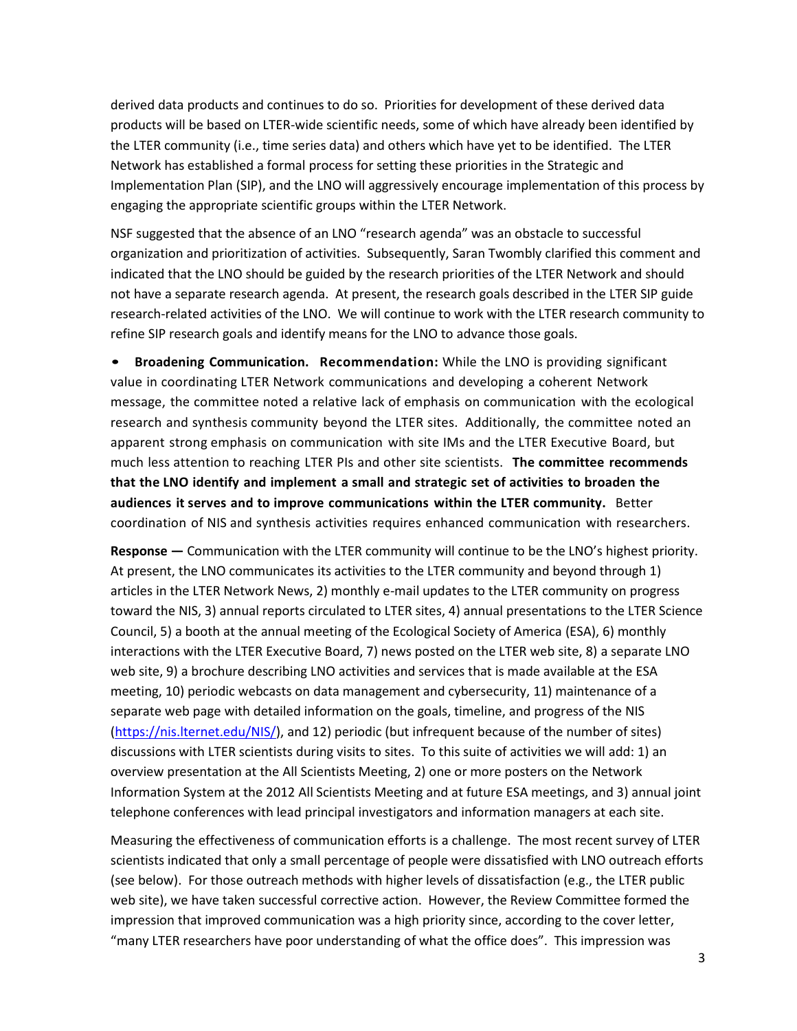derived data products and continues to do so. Priorities for development of these derived data products will be based on LTER-wide scientific needs, some of which have already been identified by the LTER community (i.e., time series data) and others which have yet to be identified. The LTER Network has established a formal process for setting these priorities in the Strategic and Implementation Plan (SIP), and the LNO will aggressively encourage implementation of this process by engaging the appropriate scientific groups within the LTER Network.

NSF suggested that the absence of an LNO "research agenda" was an obstacle to successful organization and prioritization of activities. Subsequently, Saran Twombly clarified this comment and indicated that the LNO should be guided by the research priorities of the LTER Network and should not have a separate research agenda. At present, the research goals described in the LTER SIP guide research-related activities of the LNO. We will continue to work with the LTER research community to refine SIP research goals and identify means for the LNO to advance those goals.

• **Broadening Communication. Recommendation:** While the LNO is providing significant value in coordinating LTER Network communications and developing a coherent Network message, the committee noted a relative lack of emphasis on communication with the ecological research and synthesis community beyond the LTER sites. Additionally, the committee noted an apparent strong emphasis on communication with site IMs and the LTER Executive Board, but much less attention to reaching LTER PIs and other site scientists. **The committee recommends that the LNO identify and implement a small and strategic set of activities to broaden the audiences it serves and to improve communications within the LTER community.** Better coordination of NIS and synthesis activities requires enhanced communication with researchers.

**Response** — Communication with the LTER community will continue to be the LNO's highest priority. At present, the LNO communicates its activities to the LTER community and beyond through 1) articles in the LTER Network News, 2) monthly e-mail updates to the LTER community on progress toward the NIS, 3) annual reports circulated to LTER sites, 4) annual presentations to the LTER Science Council, 5) a booth at the annual meeting of the Ecological Society of America (ESA), 6) monthly interactions with the LTER Executive Board, 7) news posted on the LTER web site, 8) a separate LNO web site, 9) a brochure describing LNO activities and services that is made available at the ESA meeting, 10) periodic webcasts on data management and cybersecurity, 11) maintenance of a separate web page with detailed information on the goals, timeline, and progress of the NIS [\(https://nis.lternet.edu/NIS/\)](https://nis.lternet.edu/NIS/), and 12) periodic (but infrequent because of the number of sites) discussions with LTER scientists during visits to sites. To this suite of activities we will add: 1) an overview presentation at the All Scientists Meeting, 2) one or more posters on the Network Information System at the 2012 All Scientists Meeting and at future ESA meetings, and 3) annual joint telephone conferences with lead principal investigators and information managers at each site.

Measuring the effectiveness of communication efforts is a challenge. The most recent survey of LTER scientists indicated that only a small percentage of people were dissatisfied with LNO outreach efforts (see below). For those outreach methods with higher levels of dissatisfaction (e.g., the LTER public web site), we have taken successful corrective action. However, the Review Committee formed the impression that improved communication was a high priority since, according to the cover letter, "many LTER researchers have poor understanding of what the office does". This impression was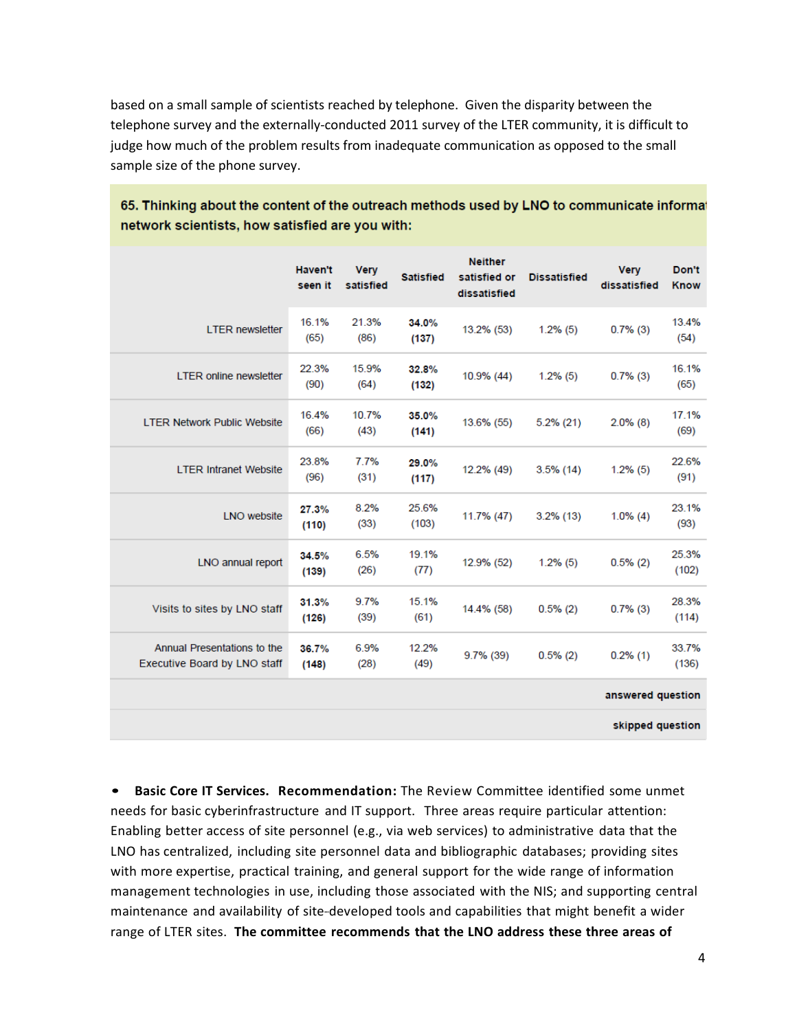based on a small sample of scientists reached by telephone. Given the disparity between the telephone survey and the externally-conducted 2011 survey of the LTER community, it is difficult to judge how much of the problem results from inadequate communication as opposed to the small sample size of the phone survey.

|                                                             | <b>Haven't</b><br>seen it | <b>Very</b><br>satisfied | <b>Satisfied</b> | <b>Neither</b><br>satisfied or<br>dissatisfied | <b>Dissatisfied</b> | <b>Very</b><br>dissatisfied | Don't<br><b>Know</b> |
|-------------------------------------------------------------|---------------------------|--------------------------|------------------|------------------------------------------------|---------------------|-----------------------------|----------------------|
| <b>LTER newsletter</b>                                      | 16.1%<br>(65)             | 21.3%<br>(86)            | 34.0%<br>(137)   | 13.2% (53)                                     | $1.2\%$ (5)         | $0.7\%$ (3)                 | 13.4%<br>(54)        |
| <b>LTER online newsletter</b>                               | 22.3%<br>(90)             | 15.9%<br>(64)            | 32.8%<br>(132)   | 10.9% (44)                                     | $1.2\%$ (5)         | $0.7\%$ (3)                 | 16.1%<br>(65)        |
| <b>LTER Network Public Website</b>                          | 16.4%<br>(66)             | 10.7%<br>(43)            | 35.0%<br>(141)   | 13.6% (55)                                     | $5.2\%$ (21)        | $2.0\%$ (8)                 | 17.1%<br>(69)        |
| <b>LTER Intranet Website</b>                                | 23.8%<br>(96)             | 7.7%<br>(31)             | 29.0%<br>(117)   | 12.2% (49)                                     | $3.5\%$ (14)        | $1.2\%$ (5)                 | 22.6%<br>(91)        |
| <b>LNO</b> website                                          | 27.3%<br>(110)            | 8.2%<br>(33)             | 25.6%<br>(103)   | 11.7% (47)                                     | $3.2\%$ (13)        | $1.0\%$ (4)                 | 23.1%<br>(93)        |
| LNO annual report                                           | 34.5%<br>(139)            | 6.5%<br>(26)             | 19.1%<br>(77)    | 12.9% (52)                                     | $1.2\%$ (5)         | 0.5%(2)                     | 25.3%<br>(102)       |
| Visits to sites by LNO staff                                | 31.3%<br>(126)            | 9.7%<br>(39)             | 15.1%<br>(61)    | 14.4% (58)                                     | $0.5\%$ (2)         | $0.7\%$ (3)                 | 28.3%<br>(114)       |
| Annual Presentations to the<br>Executive Board by LNO staff | 36.7%<br>(148)            | 6.9%<br>(28)             | 12.2%<br>(49)    | $9.7\%$ (39)                                   | $0.5\%$ (2)         | $0.2\%$ (1)                 | 33.7%<br>(136)       |
| answered question                                           |                           |                          |                  |                                                |                     |                             |                      |
| skipped question                                            |                           |                          |                  |                                                |                     |                             |                      |

65. Thinking about the content of the outreach methods used by LNO to communicate informal network scientists, how satisfied are you with:

• **Basic Core IT Services. Recommendation:** The Review Committee identified some unmet needs for basic cyberinfrastructure and IT support. Three areas require particular attention: Enabling better access of site personnel (e.g., via web services) to administrative data that the LNO has centralized, including site personnel data and bibliographic databases; providing sites with more expertise, practical training, and general support for the wide range of information management technologies in use, including those associated with the NIS; and supporting central maintenance and availability of site-developed tools and capabilities that might benefit a wider range of LTER sites. **The committee recommends that the LNO address these three areas of**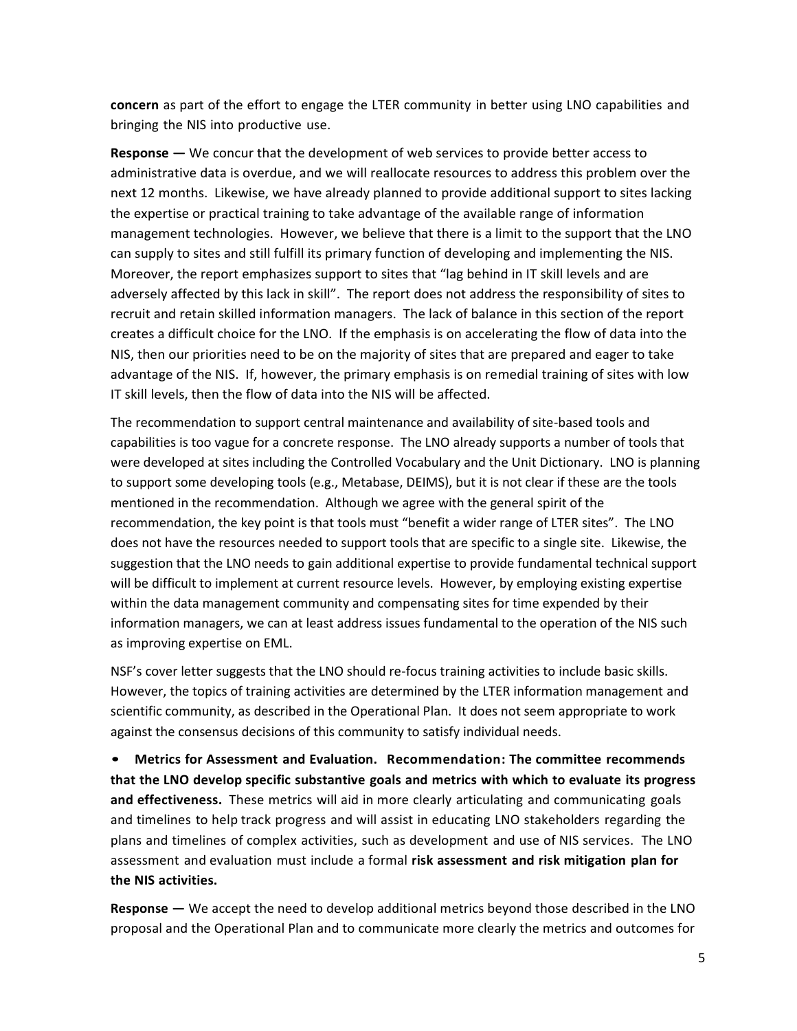**concern** as part of the effort to engage the LTER community in better using LNO capabilities and bringing the NIS into productive use.

**Response** — We concur that the development of web services to provide better access to administrative data is overdue, and we will reallocate resources to address this problem over the next 12 months. Likewise, we have already planned to provide additional support to sites lacking the expertise or practical training to take advantage of the available range of information management technologies. However, we believe that there is a limit to the support that the LNO can supply to sites and still fulfill its primary function of developing and implementing the NIS. Moreover, the report emphasizes support to sites that "lag behind in IT skill levels and are adversely affected by this lack in skill". The report does not address the responsibility of sites to recruit and retain skilled information managers. The lack of balance in this section of the report creates a difficult choice for the LNO. If the emphasis is on accelerating the flow of data into the NIS, then our priorities need to be on the majority of sites that are prepared and eager to take advantage of the NIS. If, however, the primary emphasis is on remedial training of sites with low IT skill levels, then the flow of data into the NIS will be affected.

The recommendation to support central maintenance and availability of site-based tools and capabilities is too vague for a concrete response. The LNO already supports a number of tools that were developed at sites including the Controlled Vocabulary and the Unit Dictionary. LNO is planning to support some developing tools (e.g., Metabase, DEIMS), but it is not clear if these are the tools mentioned in the recommendation. Although we agree with the general spirit of the recommendation, the key point is that tools must "benefit a wider range of LTER sites". The LNO does not have the resources needed to support tools that are specific to a single site. Likewise, the suggestion that the LNO needs to gain additional expertise to provide fundamental technical support will be difficult to implement at current resource levels. However, by employing existing expertise within the data management community and compensating sites for time expended by their information managers, we can at least address issues fundamental to the operation of the NIS such as improving expertise on EML.

NSF's cover letter suggests that the LNO should re-focus training activities to include basic skills. However, the topics of training activities are determined by the LTER information management and scientific community, as described in the Operational Plan. It does not seem appropriate to work against the consensus decisions of this community to satisfy individual needs.

• **Metrics for Assessment and Evaluation. Recommendation: The committee recommends that the LNO develop specific substantive goals and metrics with which to evaluate its progress and effectiveness.** These metrics will aid in more clearly articulating and communicating goals and timelines to help track progress and will assist in educating LNO stakeholders regarding the plans and timelines of complex activities, such as development and use of NIS services. The LNO assessment and evaluation must include a formal **risk assessment and risk mitigation plan for the NIS activities.**

**Response** — We accept the need to develop additional metrics beyond those described in the LNO proposal and the Operational Plan and to communicate more clearly the metrics and outcomes for